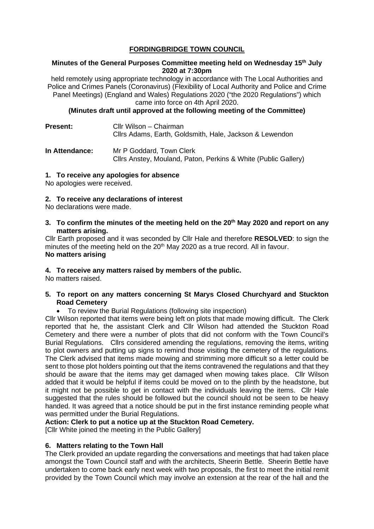# **FORDINGBRIDGE TOWN COUNCIL**

### **Minutes of the General Purposes Committee meeting held on Wednesday 15th July 2020 at 7:30pm**

held remotely using appropriate technology in accordance with The Local Authorities and Police and Crimes Panels (Coronavirus) (Flexibility of Local Authority and Police and Crime Panel Meetings) (England and Wales) Regulations 2020 ("the 2020 Regulations") which came into force on 4th April 2020.

**(Minutes draft until approved at the following meeting of the Committee)**

| <b>Present:</b>       | Cllr Wilson – Chairman<br>Cllrs Adams, Earth, Goldsmith, Hale, Jackson & Lewendon          |
|-----------------------|--------------------------------------------------------------------------------------------|
| <b>In Attendance:</b> | Mr P Goddard, Town Clerk<br>Cllrs Anstey, Mouland, Paton, Perkins & White (Public Gallery) |

# **1. To receive any apologies for absence**

No apologies were received.

### **2. To receive any declarations of interest**

No declarations were made.

**3. To confirm the minutes of the meeting held on the 20th May 2020 and report on any matters arising.**

Cllr Earth proposed and it was seconded by Cllr Hale and therefore **RESOLVED**: to sign the minutes of the meeting held on the 20<sup>th</sup> May 2020 as a true record. All in favour. **No matters arising**

# **4. To receive any matters raised by members of the public.**

No matters raised.

# **5. To report on any matters concerning St Marys Closed Churchyard and Stuckton Road Cemetery**

• To review the Burial Regulations (following site inspection)

Cllr Wilson reported that items were being left on plots that made mowing difficult. The Clerk reported that he, the assistant Clerk and Cllr Wilson had attended the Stuckton Road Cemetery and there were a number of plots that did not conform with the Town Council's Burial Regulations. Cllrs considered amending the regulations, removing the items, writing to plot owners and putting up signs to remind those visiting the cemetery of the regulations. The Clerk advised that items made mowing and strimming more difficult so a letter could be sent to those plot holders pointing out that the items contravened the regulations and that they should be aware that the items may get damaged when mowing takes place. Cllr Wilson added that it would be helpful if items could be moved on to the plinth by the headstone, but it might not be possible to get in contact with the individuals leaving the items. Cllr Hale suggested that the rules should be followed but the council should not be seen to be heavy handed. It was agreed that a notice should be put in the first instance reminding people what was permitted under the Burial Regulations.

# **Action: Clerk to put a notice up at the Stuckton Road Cemetery.**

[Cllr White joined the meeting in the Public Gallery]

# **6. Matters relating to the Town Hall**

The Clerk provided an update regarding the conversations and meetings that had taken place amongst the Town Council staff and with the architects, Sheerin Bettle. Sheerin Bettle have undertaken to come back early next week with two proposals, the first to meet the initial remit provided by the Town Council which may involve an extension at the rear of the hall and the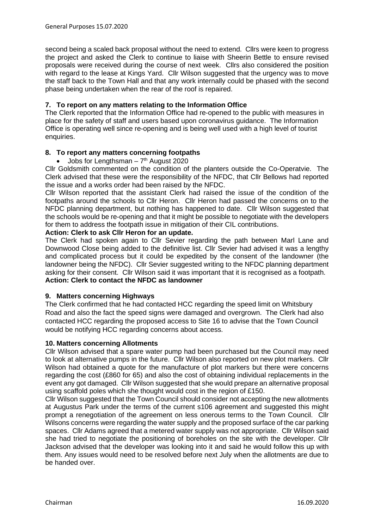second being a scaled back proposal without the need to extend. Cllrs were keen to progress the project and asked the Clerk to continue to liaise with Sheerin Bettle to ensure revised proposals were received during the course of next week. Cllrs also considered the position with regard to the lease at Kings Yard. Cllr Wilson suggested that the urgency was to move the staff back to the Town Hall and that any work internally could be phased with the second phase being undertaken when the rear of the roof is repaired.

### **7. To report on any matters relating to the Information Office**

The Clerk reported that the Information Office had re-opened to the public with measures in place for the safety of staff and users based upon coronavirus guidance. The Information Office is operating well since re-opening and is being well used with a high level of tourist enquiries.

### **8. To report any matters concerning footpaths**

Jobs for Lengthsman  $-7<sup>th</sup>$  August 2020

Cllr Goldsmith commented on the condition of the planters outside the Co-Operatvie. The Clerk advised that these were the responsibility of the NFDC, that Cllr Bellows had reported the issue and a works order had been raised by the NFDC.

Cllr Wilson reported that the assistant Clerk had raised the issue of the condition of the footpaths around the schools to Cllr Heron. Cllr Heron had passed the concerns on to the NFDC planning department, but nothing has happened to date. Cllr Wilson suggested that the schools would be re-opening and that it might be possible to negotiate with the developers for them to address the footpath issue in mitigation of their CIL contributions.

# **Action: Clerk to ask Cllr Heron for an update.**

The Clerk had spoken again to Cllr Sevier regarding the path between Marl Lane and Downwood Close being added to the definitive list. Cllr Sevier had advised it was a lengthy and complicated process but it could be expedited by the consent of the landowner (the landowner being the NFDC). Cllr Sevier suggested writing to the NFDC planning department asking for their consent. Cllr Wilson said it was important that it is recognised as a footpath. **Action: Clerk to contact the NFDC as landowner**

# **9. Matters concerning Highways**

The Clerk confirmed that he had contacted HCC regarding the speed limit on Whitsbury Road and also the fact the speed signs were damaged and overgrown. The Clerk had also contacted HCC regarding the proposed access to Site 16 to advise that the Town Council would be notifying HCC regarding concerns about access.

#### **10. Matters concerning Allotments**

Cllr Wilson advised that a spare water pump had been purchased but the Council may need to look at alternative pumps in the future. Cllr Wilson also reported on new plot markers. Cllr Wilson had obtained a quote for the manufacture of plot markers but there were concerns regarding the cost (£860 for 65) and also the cost of obtaining individual replacements in the event any got damaged. Cllr Wilson suggested that she would prepare an alternative proposal using scaffold poles which she thought would cost in the region of £150.

Cllr Wilson suggested that the Town Council should consider not accepting the new allotments at Augustus Park under the terms of the current s106 agreement and suggested this might prompt a renegotiation of the agreement on less onerous terms to the Town Council. Cllr Wilsons concerns were regarding the water supply and the proposed surface of the car parking spaces. Cllr Adams agreed that a metered water supply was not appropriate. Cllr Wilson said she had tried to negotiate the positioning of boreholes on the site with the developer. Cllr Jackson advised that the developer was looking into it and said he would follow this up with them. Any issues would need to be resolved before next July when the allotments are due to be handed over.